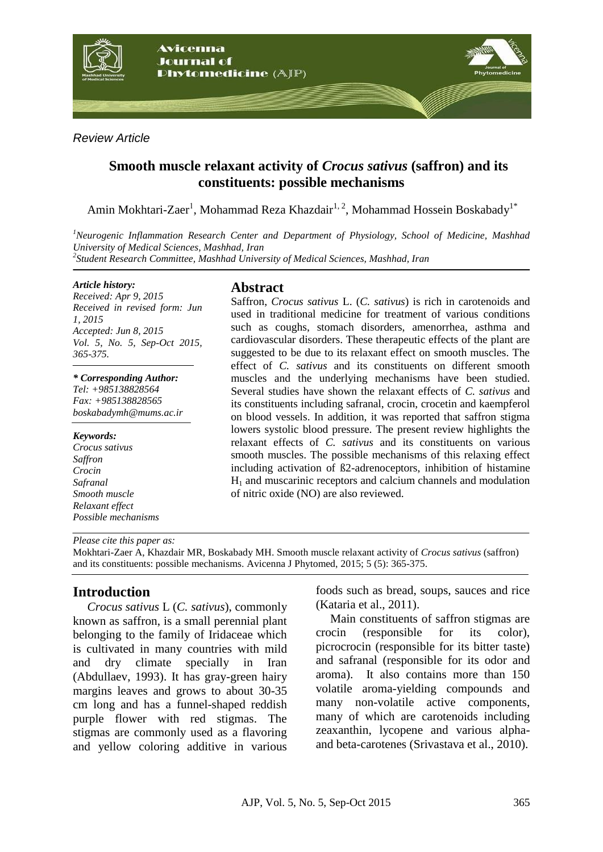

*Review Article*

# **Smooth muscle relaxant activity of** *Crocus sativus* **(saffron) and its constituents: possible mechanisms**

Amin Mokhtari-Zaer<sup>1</sup>, Mohammad Reza Khazdair<sup>1, 2</sup>, Mohammad Hossein Boskabady<sup>1\*</sup>

*<sup>1</sup>Neurogenic Inflammation Research Center and Department of Physiology, School of Medicine, Mashhad University of Medical Sciences, Mashhad, Iran 2 Student Research Committee, Mashhad University of Medical Sciences, Mashhad, Iran*

*Article history:*

*Received: Apr 9, 2015 Received in revised form: Jun 1, 2015 Accepted: Jun 8, 2015 Vol. 5, No. 5, Sep-Oct 2015, 365-375.*

*\* Corresponding Author: Tel: +985138828564 Fax: +985138828565 [boskabadymh@mums.ac.ir](mailto:boskabadymh@mums.ac.ir)*

*Keywords: Crocus sativus Saffron Crocin Safranal Smooth muscle Relaxant effect Possible mechanisms*

### **Abstract**

Saffron, *Crocus sativus* L. (*C. sativus*) is rich in carotenoids and used in traditional medicine for treatment of various conditions such as coughs, stomach disorders, amenorrhea, asthma and cardiovascular disorders. These therapeutic effects of the plant are suggested to be due to its relaxant effect on smooth muscles. The effect of *C. sativus* and its constituents on different smooth muscles and the underlying mechanisms have been studied. Several studies have shown the relaxant effects of *C. sativus* and its constituents including safranal, crocin, crocetin and kaempferol on blood vessels. In addition, it was reported that saffron stigma lowers systolic blood pressure. The present review highlights the relaxant effects of *C. sativus* and its constituents on various smooth muscles. The possible mechanisms of this relaxing effect including activation of ß2-adrenoceptors, inhibition of histamine  $H<sub>1</sub>$  and muscarinic receptors and calcium channels and modulation of nitric oxide (NO) are also reviewed.

*Please cite this paper as:* 

Mokhtari-Zaer A, Khazdair MR, Boskabady MH. Smooth muscle relaxant activity of *Crocus sativus* (saffron) and its constituents: possible mechanisms. Avicenna J Phytomed, 2015; 5 (5): 365-375.

## **Introduction**

*Crocus sativus* L (*C. sativus*), commonly known as saffron, is a small perennial plant belonging to the family of Iridaceae which is cultivated in many countries with mild and dry climate specially in Iran (Abdullaev, 1993). It has gray-green hairy margins leaves and grows to about 30-35 cm long and has a funnel-shaped reddish purple flower with red stigmas. The stigmas are commonly used as a flavoring and yellow coloring additive in various

foods such as bread, soups, sauces and rice (Kataria et al., 2011).

Main constituents of saffron stigmas are crocin (responsible for its color), picrocrocin (responsible for its bitter taste) and safranal (responsible for its odor and aroma). It also contains more than 150 volatile aroma-yielding compounds and many non-volatile active components, many of which are carotenoids including zeaxanthin, lycopene and various alphaand beta-carotenes (Srivastava et al., 2010).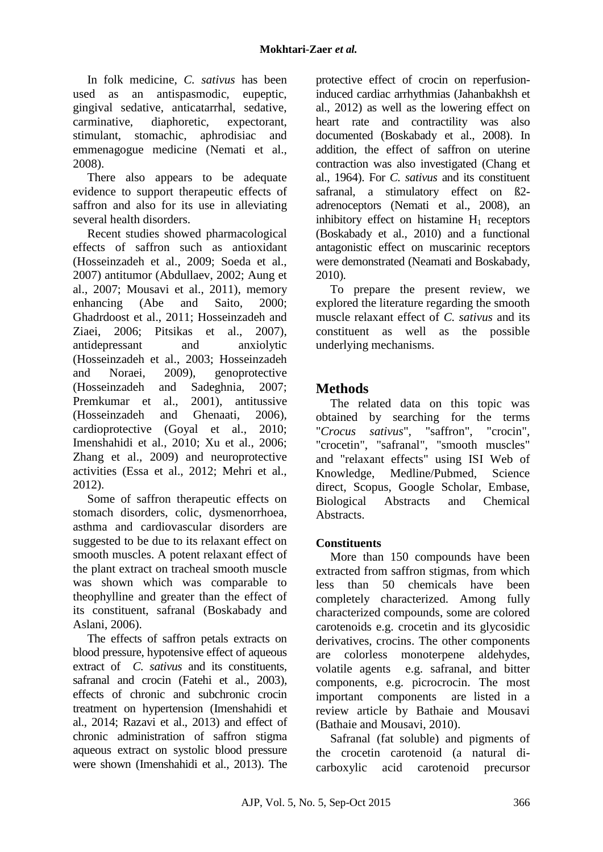In folk medicine, *C. sativus* has been used as an antispasmodic, eupeptic, gingival sedative, anticatarrhal, sedative, carminative, diaphoretic, expectorant, stimulant, stomachic, aphrodisiac and emmenagogue medicine (Nemati et al., 2008).

There also appears to be adequate evidence to support therapeutic effects of saffron and also for its use in alleviating several health disorders.

Recent studies showed pharmacological effects of saffron such as antioxidant (Hosseinzadeh et al., 2009; Soeda et al., 2007) antitumor (Abdullaev, 2002; Aung et al., 2007; Mousavi et al., 2011), memory enhancing (Abe and Saito, 2000; Ghadrdoost et al., 2011; Hosseinzadeh and Ziaei, 2006; Pitsikas et al., 2007), antidepressant and anxiolytic (Hosseinzadeh et al., 2003; Hosseinzadeh and Noraei, 2009), genoprotective (Hosseinzadeh and Sadeghnia, 2007; Premkumar et al., 2001), antitussive (Hosseinzadeh and Ghenaati, 2006), cardioprotective (Goyal et al., 2010; Imenshahidi et al., 2010; Xu et al., 2006; Zhang et al., 2009) and neuroprotective activities (Essa et al., 2012; Mehri et al., 2012).

Some of saffron therapeutic effects on stomach disorders, colic, dysmenorrhoea, asthma and cardiovascular disorders are suggested to be due to its relaxant effect on smooth muscles. A potent relaxant effect of the plant extract on tracheal smooth muscle was shown which was comparable to theophylline and greater than the effect of its constituent, safranal (Boskabady and Aslani, 2006).

The effects of saffron petals extracts on blood pressure, hypotensive effect of aqueous extract of *C. sativus* and its constituents, safranal and crocin (Fatehi et al., 2003), effects of chronic and subchronic crocin treatment on hypertension (Imenshahidi et al., 2014; Razavi et al., 2013) and effect of chronic administration of saffron stigma aqueous extract on systolic blood pressure were shown (Imenshahidi et al., 2013). The protective effect of crocin on reperfusioninduced cardiac arrhythmias (Jahanbakhsh et al., 2012) as well as the lowering effect on heart rate and contractility was also documented (Boskabady et al., 2008). In addition, the effect of saffron on uterine contraction was also investigated (Chang et al., 1964). For *C. sativus* and its constituent safranal, a stimulatory effect on ß2 adrenoceptors (Nemati et al., 2008), an inhibitory effect on histamine  $H_1$  receptors (Boskabady et al., 2010) and a functional antagonistic effect on muscarinic receptors were demonstrated (Neamati and Boskabady, 2010).

To prepare the present review, we explored the literature regarding the smooth muscle relaxant effect of *C. sativus* and its constituent as well as the possible underlying mechanisms.

# **Methods**

The related data on this topic was obtained by searching for the terms "*Crocus sativus*", "saffron", "crocin", "crocetin", "safranal", "smooth muscles" and "relaxant effects" using ISI Web of Knowledge, Medline/Pubmed, Science direct, Scopus, Google Scholar, Embase, Biological Abstracts and Chemical Abstracts.

## **Constituents**

More than 150 compounds have been extracted from saffron stigmas, from which less than 50 chemicals have been completely characterized. Among fully characterized compounds, some are colored carotenoids e.g. crocetin and its glycosidic derivatives, crocins. The other components are colorless monoterpene aldehydes, volatile agents e.g. safranal, and bitter components, e.g. picrocrocin. The most important components are listed in a review article by Bathaie and Mousavi (Bathaie and Mousavi, 2010).

Safranal (fat soluble) and pigments of the crocetin carotenoid (a natural dicarboxylic acid carotenoid precursor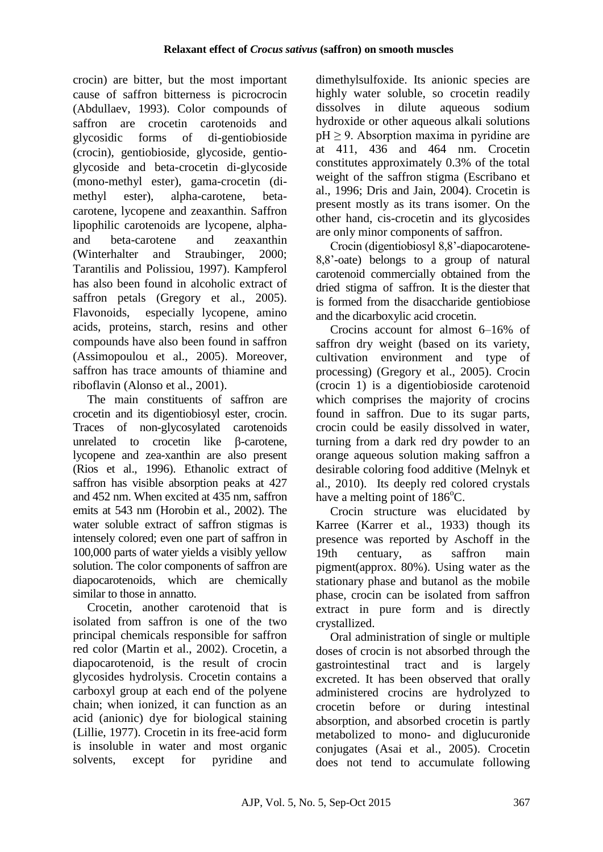crocin) are bitter, but the most important cause of saffron bitterness is picrocrocin (Abdullaev, 1993). Color compounds of saffron are crocetin carotenoids and glycosidic forms of di-gentiobioside (crocin), gentiobioside, glycoside, gentioglycoside and beta-crocetin di-glycoside (mono-methyl ester), gama-crocetin (dimethyl ester), alpha-carotene, betacarotene, lycopene and zeaxanthin. Saffron lipophilic carotenoids are lycopene, alphaand beta-carotene and zeaxanthin (Winterhalter and Straubinger, 2000; Tarantilis and Polissiou, 1997). Kampferol has also been found in alcoholic extract of saffron petals (Gregory et al., 2005). Flavonoids, especially lycopene, amino acids, proteins, starch, resins and other compounds have also been found in saffron (Assimopoulou et al., 2005). Moreover, saffron has trace amounts of thiamine and riboflavin (Alonso et al., 2001).

The main constituents of saffron are crocetin and its digentiobiosyl ester, crocin. Traces of non-glycosylated carotenoids unrelated to crocetin like β-carotene, lycopene and zea-xanthin are also present (Rios et al., 1996). Ethanolic extract of saffron has visible absorption peaks at 427 and 452 nm. When excited at 435 nm, saffron emits at 543 nm (Horobin et al., 2002). The water soluble extract of saffron stigmas is intensely colored; even one part of saffron in 100,000 parts of water yields a visibly yellow solution. The color components of saffron are diapocarotenoids, which are chemically similar to those in annatto.

Crocetin, another carotenoid that is isolated from saffron is one of the two principal chemicals responsible for saffron red color (Martin et al., 2002). Crocetin, a diapocarotenoid, is the result of crocin glycosides hydrolysis. Crocetin contains a carboxyl group at each end of the polyene chain; when ionized, it can function as an acid (anionic) dye for biological staining (Lillie, 1977). Crocetin in its free-acid form is insoluble in water and most organic solvents, except for pyridine and dimethylsulfoxide. Its anionic species are highly water soluble, so crocetin readily dissolves in dilute aqueous sodium hydroxide or other aqueous alkali solutions  $pH \geq 9$ . Absorption maxima in pyridine are at 411, 436 and 464 nm. Crocetin constitutes approximately 0.3% of the total weight of the saffron stigma (Escribano et al., 1996; Dris and Jain, 2004). Crocetin is present mostly as its trans isomer. On the other hand, cis-crocetin and its glycosides are only minor components of saffron.

Crocin (digentiobiosyl 8,8'-diapocarotene-8,8'-oate) belongs to a group of natural carotenoid commercially obtained from the dried stigma of saffron. It is the diester that is formed from the disaccharide gentiobiose and the dicarboxylic acid crocetin.

Crocins account for almost 6–16% of saffron dry weight (based on its variety, cultivation environment and type of processing) (Gregory et al., 2005). Crocin (crocin 1) is a digentiobioside carotenoid which comprises the majority of crocins found in saffron. Due to its sugar parts, crocin could be easily dissolved in water, turning from a dark red dry powder to an orange aqueous solution making saffron a desirable coloring food additive (Melnyk et al., 2010). Its deeply red colored crystals have a melting point of  $186^{\circ}$ C.

Crocin structure was elucidated by Karree (Karrer et al., 1933) though its presence was reported by Aschoff in the 19th centuary, as saffron main pigment(approx. 80%). Using water as the stationary phase and butanol as the mobile phase, crocin can be isolated from saffron extract in pure form and is directly crystallized.

Oral administration of single or multiple doses of crocin is not absorbed through the gastrointestinal tract and is largely excreted. It has been observed that orally administered crocins are hydrolyzed to crocetin before or during intestinal absorption, and absorbed crocetin is partly metabolized to mono- and diglucuronide conjugates (Asai et al., 2005). Crocetin does not tend to accumulate following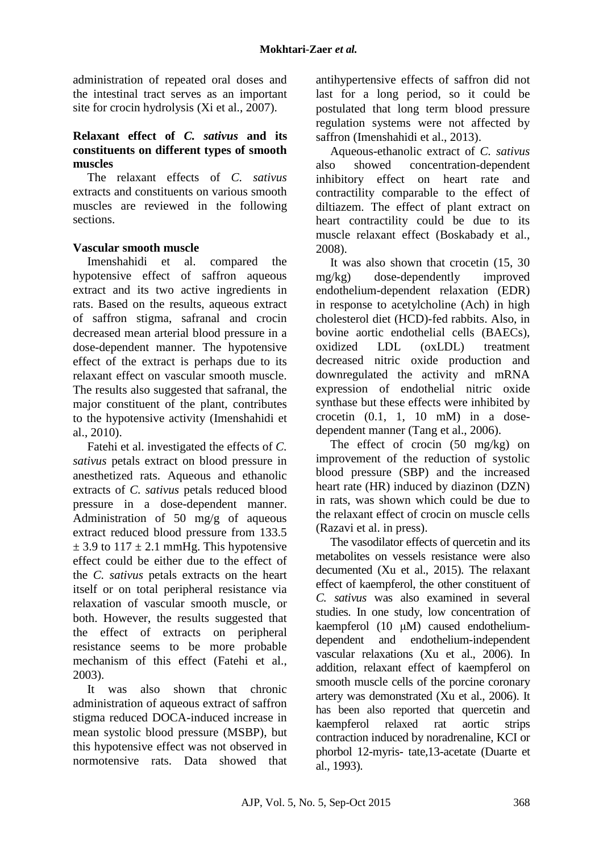administration of repeated oral doses and the intestinal tract serves as an important site for crocin hydrolysis (Xi et al., 2007).

### **Relaxant effect of** *C. sativus* **and its constituents on different types of smooth muscles**

The relaxant effects of *C. sativus* extracts and constituents on various smooth muscles are reviewed in the following sections.

### **Vascular smooth muscle**

Imenshahidi et al. compared the hypotensive effect of saffron aqueous extract and its two active ingredients in rats. Based on the results, aqueous extract of saffron stigma, safranal and crocin decreased mean arterial blood pressure in a dose-dependent manner. The hypotensive effect of the extract is perhaps due to its relaxant effect on vascular smooth muscle. The results also suggested that safranal, the major constituent of the plant, contributes to the hypotensive activity (Imenshahidi et al., 2010).

Fatehi et al. investigated the effects of *C. sativus* petals extract on blood pressure in anesthetized rats. Aqueous and ethanolic extracts of *C. sativus* petals reduced blood pressure in a dose-dependent manner. Administration of 50 mg/g of aqueous extract reduced blood pressure from 133.5  $\pm$  3.9 to 117  $\pm$  2.1 mmHg. This hypotensive effect could be either due to the effect of the *C. sativus* petals extracts on the heart itself or on total peripheral resistance via relaxation of vascular smooth muscle, or both. However, the results suggested that the effect of extracts on peripheral resistance seems to be more probable mechanism of this effect (Fatehi et al., 2003).

It was also shown that chronic administration of aqueous extract of saffron stigma reduced DOCA-induced increase in mean systolic blood pressure (MSBP), but this hypotensive effect was not observed in normotensive rats. Data showed that antihypertensive effects of saffron did not last for a long period, so it could be postulated that long term blood pressure regulation systems were not affected by saffron (Imenshahidi et al., 2013).

Aqueous-ethanolic extract of *C. sativus* also showed concentration-dependent inhibitory effect on heart rate and contractility comparable to the effect of diltiazem. The effect of plant extract on heart contractility could be due to its muscle relaxant effect (Boskabady et al., 2008).

It was also shown that crocetin (15, 30 mg/kg) dose-dependently improved endothelium-dependent relaxation (EDR) in response to acetylcholine (Ach) in high cholesterol diet (HCD)-fed rabbits. Also, in bovine aortic endothelial cells (BAECs), oxidized LDL (oxLDL) treatment decreased nitric oxide production and downregulated the activity and mRNA expression of endothelial nitric oxide synthase but these effects were inhibited by crocetin  $(0.1, 1, 10 \text{ mM})$  in a dosedependent manner (Tang et al., 2006).

The effect of crocin (50 mg/kg) on improvement of the reduction of systolic blood pressure (SBP) and the increased heart rate (HR) induced by diazinon (DZN) in rats, was shown which could be due to the relaxant effect of crocin on muscle cells (Razavi et al. in press).

The vasodilator effects of quercetin and its metabolites on vessels resistance were also decumented (Xu et al., 2015). The relaxant effect of kaempferol, the other constituent of *C. sativus* was also examined in several studies. In one study, low concentration of kaempferol (10 μM) caused endotheliumdependent and endothelium-independent vascular relaxations (Xu et al., 2006). In addition, relaxant effect of kaempferol on smooth muscle cells of the porcine coronary artery was demonstrated (Xu et al., 2006). It has been also reported that quercetin and kaempferol relaxed rat aortic strips contraction induced by noradrenaline, KCI or phorbol 12-myris- tate,13-acetate (Duarte et al., 1993).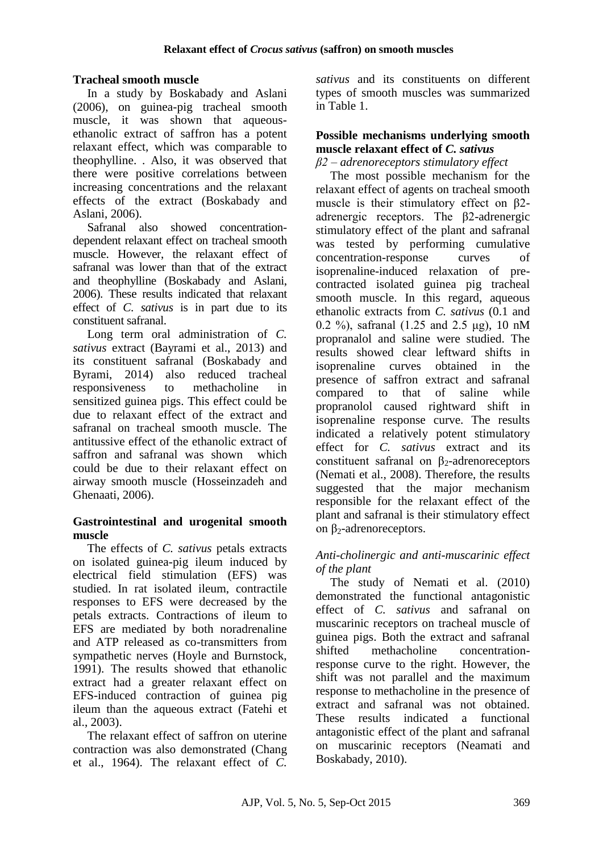### **Tracheal smooth muscle**

In a study by Boskabady and Aslani (2006), on guinea-pig tracheal smooth muscle, it was shown that aqueousethanolic extract of saffron has a potent relaxant effect, which was comparable to theophylline. . Also, it was observed that there were positive correlations between increasing concentrations and the relaxant effects of the extract (Boskabady and Aslani, 2006).

Safranal also showed concentrationdependent relaxant effect on tracheal smooth muscle. However, the relaxant effect of safranal was lower than that of the extract and theophylline (Boskabady and Aslani, 2006). These results indicated that relaxant effect of *C. sativus* is in part due to its constituent safranal.

Long term oral administration of *C*. *sativus* extract (Bayrami et al., 2013) and its constituent safranal (Boskabady and Byrami, 2014) also reduced tracheal responsiveness to methacholine in sensitized guinea pigs. This effect could be due to relaxant effect of the extract and safranal on tracheal smooth muscle. The antitussive effect of the ethanolic extract of saffron and safranal was shown which could be due to their relaxant effect on airway smooth muscle (Hosseinzadeh and Ghenaati, 2006).

#### **Gastrointestinal and urogenital smooth muscle**

The effects of *C. sativus* petals extracts on isolated guinea-pig ileum induced by electrical field stimulation (EFS) was studied. In rat isolated ileum, contractile responses to EFS were decreased by the petals extracts. Contractions of ileum to EFS are mediated by both noradrenaline and ATP released as co-transmitters from sympathetic nerves (Hoyle and Burnstock, 1991). The results showed that ethanolic extract had a greater relaxant effect on EFS-induced contraction of guinea pig ileum than the aqueous extract (Fatehi et al., 2003).

The relaxant effect of saffron on uterine contraction was also demonstrated (Chang et al., 1964). The relaxant effect of *C.* 

*sativus* and its constituents on different types of smooth muscles was summarized in Table 1.

#### **Possible mechanisms underlying smooth muscle relaxant effect of** *C. sativus*

*β2 – adrenoreceptors stimulatory effect*

The most possible mechanism for the relaxant effect of agents on tracheal smooth muscle is their stimulatory effect on β2 adrenergic receptors. The β2-adrenergic stimulatory effect of the plant and safranal was tested by performing cumulative concentration-response curves of isoprenaline-induced relaxation of precontracted isolated guinea pig tracheal smooth muscle. In this regard, aqueous ethanolic extracts from *C. sativus* (0.1 and 0.2 %), safranal (1.25 and 2.5 μg), 10 nM propranalol and saline were studied. The results showed clear leftward shifts in isoprenaline curves obtained in the presence of saffron extract and safranal compared to that of saline while propranolol caused rightward shift in isoprenaline response curve. The results indicated a relatively potent stimulatory effect for *C. sativus* extract and its constituent safranal on  $\beta_2$ -adrenoreceptors (Nemati et al., 2008). Therefore, the results suggested that the major mechanism responsible for the relaxant effect of the plant and safranal is their stimulatory effect on β<sub>2</sub>-adrenoreceptors.

### *Anti-cholinergic and anti-muscarinic effect of the plant*

The study of Nemati et al. (2010) demonstrated the functional antagonistic effect of *C. sativus* and safranal on muscarinic receptors on tracheal muscle of guinea pigs. Both the extract and safranal shifted methacholine concentrationresponse curve to the right. However, the shift was not parallel and the maximum response to methacholine in the presence of extract and safranal was not obtained. These results indicated a functional antagonistic effect of the plant and safranal on muscarinic receptors (Neamati and Boskabady, 2010).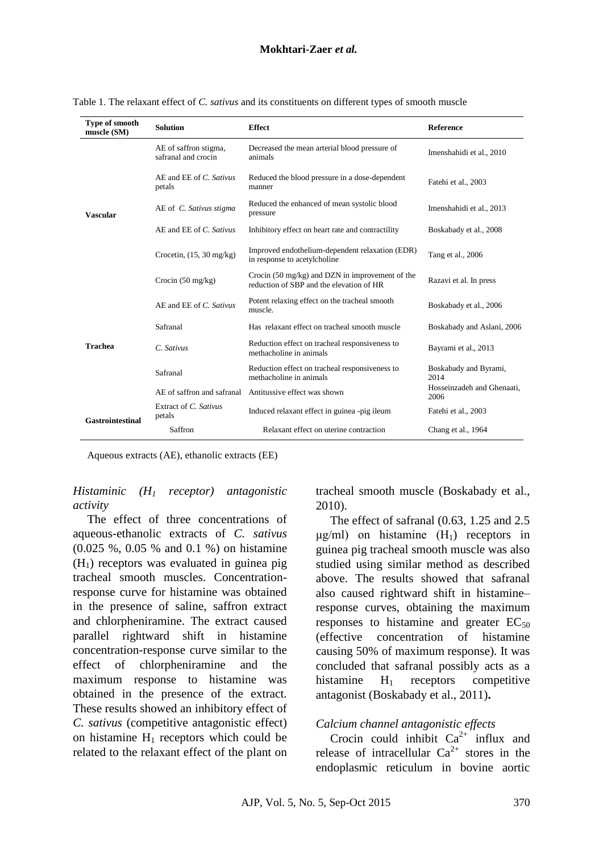| Type of smooth<br>muscle (SM) | <b>Solution</b>                              | <b>Effect</b>                                                                                         | Reference                          |
|-------------------------------|----------------------------------------------|-------------------------------------------------------------------------------------------------------|------------------------------------|
| <b>Vascular</b>               | AE of saffron stigma,<br>safranal and crocin | Decreased the mean arterial blood pressure of<br>animals                                              | Imenshahidi et al., 2010           |
|                               | AE and EE of C. Sativus<br>petals            | Reduced the blood pressure in a dose-dependent<br>manner                                              | Fatehi et al., 2003                |
|                               | AE of C. Sativus stigma                      | Reduced the enhanced of mean systolic blood<br>pressure                                               | Imenshahidi et al., 2013           |
|                               | AE and EE of C. Sativus                      | Inhibitory effect on heart rate and contractility                                                     | Boskabady et al., 2008             |
|                               | Crocetin, $(15, 30 \text{ mg/kg})$           | Improved endothelium-dependent relaxation (EDR)<br>in response to acetylcholine                       | Tang et al., 2006                  |
|                               | Crocin $(50 \text{ mg/kg})$                  | Crocin $(50 \text{ mg/kg})$ and DZN in improvement of the<br>reduction of SBP and the elevation of HR | Razavi et al. In press             |
| <b>Trachea</b>                | AE and EE of C. Sativus                      | Potent relaxing effect on the tracheal smooth<br>muscle.                                              | Boskabady et al., 2006             |
|                               | Safranal                                     | Has relaxant effect on tracheal smooth muscle                                                         | Boskabady and Aslani, 2006         |
|                               | C. Sativus                                   | Reduction effect on tracheal responsiveness to<br>methacholine in animals                             | Bayrami et al., 2013               |
|                               | Safranal                                     | Reduction effect on tracheal responsiveness to<br>methacholine in animals                             | Boskabady and Byrami,<br>2014      |
|                               | AE of saffron and safranal                   | Antitussive effect was shown                                                                          | Hosseinzadeh and Ghenaati,<br>2006 |
| <b>Gastrointestinal</b>       | Extract of C. Sativus<br>petals              | Induced relaxant effect in guinea -pig ileum                                                          | Fatehi et al., 2003                |
|                               | Saffron                                      | Relaxant effect on uterine contraction                                                                | Chang et al., 1964                 |

Table 1. The relaxant effect of *C. sativus* and its constituents on different types of smooth muscle

Aqueous extracts (AE), ethanolic extracts (EE)

#### *Histaminic (H<sup>1</sup> receptor) antagonistic activity*

The effect of three concentrations of aqueous-ethanolic extracts of *C. sativus* (0.025 %, 0.05 % and 0.1 %) on histamine  $(H<sub>1</sub>)$  receptors was evaluated in guinea pig tracheal smooth muscles. Concentrationresponse curve for histamine was obtained in the presence of saline, saffron extract and chlorpheniramine. The extract caused parallel rightward shift in histamine concentration-response curve similar to the effect of chlorpheniramine and the maximum response to histamine was obtained in the presence of the extract. These results showed an inhibitory effect of *C. sativus* (competitive antagonistic effect) on histamine  $H_1$  receptors which could be related to the relaxant effect of the plant on tracheal smooth muscle (Boskabady et al., 2010).

The effect of safranal (0.63, 1.25 and 2.5  $\mu$ g/ml) on histamine  $(H_1)$  receptors in guinea pig tracheal smooth muscle was also studied using similar method as described above. The results showed that safranal also caused rightward shift in histamine– response curves, obtaining the maximum responses to histamine and greater  $EC_{50}$ (effective concentration of histamine causing 50% of maximum response). It was concluded that safranal possibly acts as a histamine  $H_1$  receptors competitive antagonist (Boskabady et al., 2011)**.**

### *Calcium channel antagonistic effects*

Crocin could inhibit  $Ca^{2+\alpha}$  influx and release of intracellular  $Ca^{2+}$  stores in the endoplasmic reticulum in bovine aortic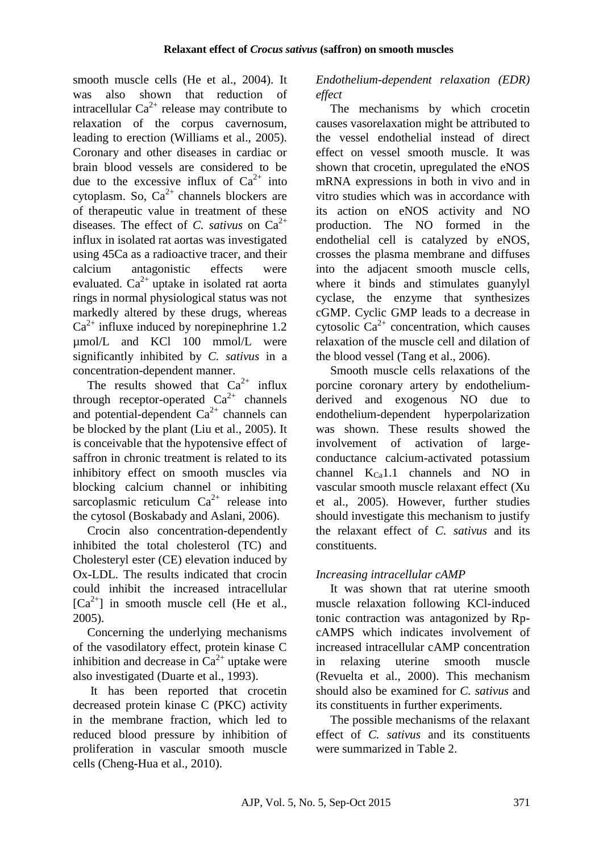smooth muscle cells (He et al., 2004). It was also shown that reduction of intracellular  $Ca^{2+}$  release may contribute to relaxation of the corpus cavernosum, leading to erection (Williams et al., 2005). Coronary and other diseases in cardiac or brain blood vessels are considered to be due to the excessive influx of  $Ca^{2+}$  into cytoplasm. So,  $Ca^{2+}$  channels blockers are of therapeutic value in treatment of these diseases. The effect of *C. sativus* on  $Ca^{2+}$ influx in isolated rat aortas was investigated using 45Ca as a radioactive tracer, and their calcium antagonistic effects were evaluated.  $Ca^{2+}$  uptake in isolated rat aorta rings in normal physiological status was not markedly altered by these drugs, whereas  $Ca^{2+}$  influxe induced by norepinephrine 1.2 µmol/L and KCl 100 mmol/L were significantly inhibited by *C. sativus* in a concentration-dependent manner.

The results showed that  $Ca^{2+}$  influx through receptor-operated  $Ca^{2+}$  channels and potential-dependent  $Ca^{2+}$  channels can be blocked by the plant (Liu et al., 2005). It is conceivable that the hypotensive effect of saffron in chronic treatment is related to its inhibitory effect on smooth muscles via blocking calcium channel or inhibiting sarcoplasmic reticulum  $Ca^{2+}$  release into the cytosol (Boskabady and Aslani, 2006).

Crocin also concentration-dependently inhibited the total cholesterol (TC) and Cholesteryl ester (CE) elevation induced by Ox-LDL. The results indicated that crocin could inhibit the increased intracellular  $[Ca^{2+}]$  in smooth muscle cell (He et al., 2005).

Concerning the underlying mechanisms of the vasodilatory effect, protein kinase C inhibition and decrease in  $Ca^{2+}$  uptake were also investigated (Duarte et al., 1993).

It has been reported that crocetin decreased protein kinase C (PKC) activity in the membrane fraction, which led to reduced blood pressure by inhibition of proliferation in vascular smooth muscle cells (Cheng-Hua et al., 2010).

## *Endothelium-dependent relaxation (EDR) effect*

The mechanisms by which crocetin causes vasorelaxation might be attributed to the vessel endothelial instead of direct effect on vessel smooth muscle. It was shown that crocetin, upregulated the eNOS mRNA expressions in both in vivo and in vitro studies which was in accordance with its action on eNOS activity and NO production. The NO formed in the endothelial cell is catalyzed by eNOS, crosses the plasma membrane and diffuses into the adjacent smooth muscle cells, where it binds and stimulates guanylyl cyclase, the enzyme that synthesizes cGMP. Cyclic GMP leads to a decrease in cytosolic  $Ca^{2+}$  concentration, which causes relaxation of the muscle cell and dilation of the blood vessel (Tang et al., 2006).

Smooth muscle cells relaxations of the porcine coronary artery by endotheliumderived and exogenous NO due to endothelium-dependent hyperpolarization was shown. These results showed the involvement of activation of largeconductance calcium-activated potassium channel  $K_{C_3}$ 1.1 channels and NO in vascular smooth muscle relaxant effect (Xu et al., 2005). However, further studies should investigate this mechanism to justify the relaxant effect of *C. sativus* and its constituents.

## *Increasing intracellular cAMP*

It was shown that rat uterine smooth muscle relaxation following KCl-induced tonic contraction was antagonized by RpcAMPS which indicates involvement of increased intracellular cAMP concentration in relaxing uterine smooth muscle (Revuelta et al., 2000). This mechanism should also be examined for *C. sativus* and its constituents in further experiments.

The possible mechanisms of the relaxant effect of *C. sativus* and its constituents were summarized in Table 2.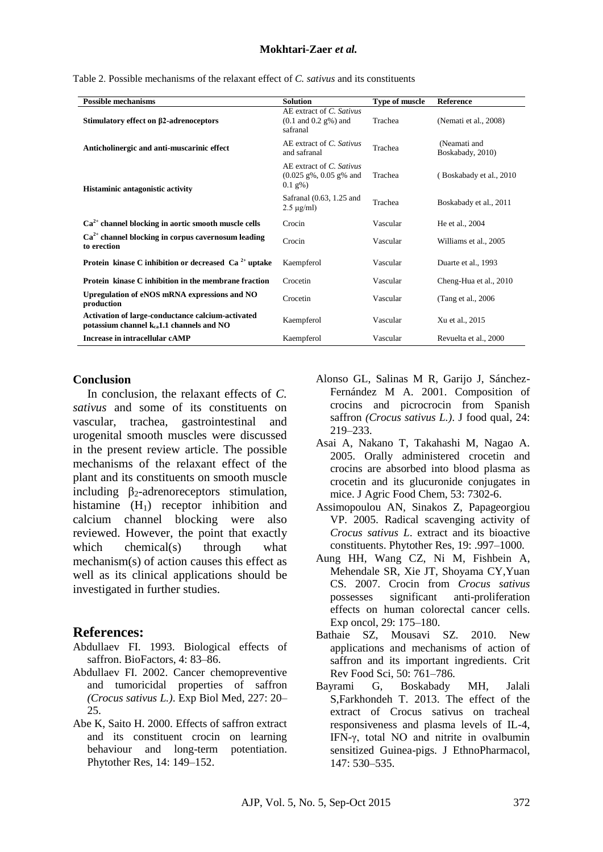| <b>Possible mechanisms</b>                                                                         | <b>Solution</b>                                                                              | <b>Type of muscle</b> | <b>Reference</b>                 |
|----------------------------------------------------------------------------------------------------|----------------------------------------------------------------------------------------------|-----------------------|----------------------------------|
| Stimulatory effect on β2-adrenoceptors                                                             | AE extract of C. Sativus<br>$(0.1 \text{ and } 0.2 \text{ g\%})$ and<br>safranal             | Trachea               | (Nemati et al., 2008)            |
| Anticholinergic and anti-muscarinic effect                                                         | AE extract of C. Sativus<br>and safranal                                                     | Trachea               | (Neamati and<br>Boskabady, 2010) |
| <b>Histaminic antagonistic activity</b>                                                            | AE extract of C. Sativus<br>$(0.025 \text{ g\%}, 0.05 \text{ g\%} \text{ and }$<br>$0.1$ g%) | Trachea               | (Boskabady et al., 2010)         |
|                                                                                                    | Safranal (0.63, 1.25 and<br>$2.5 \mu$ g/ml)                                                  | Trachea               | Boskabady et al., 2011           |
| $Ca2+$ channel blocking in aortic smooth muscle cells                                              | Crocin                                                                                       | Vascular              | He et al., 2004                  |
| $Ca2+$ channel blocking in corpus cavernosum leading<br>to erection                                | Crocin                                                                                       | Vascular              | Williams et al., 2005            |
| Protein kinase C inhibition or decreased $Ca2+$ uptake                                             | Kaempferol                                                                                   | Vascular              | Duarte et al., 1993              |
| Protein kinase C inhibition in the membrane fraction                                               | Crocetin                                                                                     | Vascular              | Cheng-Hua et al., 2010           |
| Upregulation of eNOS mRNA expressions and NO<br>production                                         | Crocetin                                                                                     | Vascular              | (Tang et al., 2006)              |
| Activation of large-conductance calcium-activated<br>potassium channel $k_{ca}1.1$ channels and NO | Kaempferol                                                                                   | Vascular              | Xu et al., 2015                  |
| Increase in intracellular cAMP                                                                     | Kaempferol                                                                                   | Vascular              | Revuelta et al., 2000            |

Table 2. Possible mechanisms of the relaxant effect of *C. sativus* and its constituents

#### **Conclusion**

In conclusion, the relaxant effects of *C. sativus* and some of its constituents on vascular, trachea, gastrointestinal and urogenital smooth muscles were discussed in the present review article. The possible mechanisms of the relaxant effect of the plant and its constituents on smooth muscle including  $\beta_2$ -adrenoreceptors stimulation, histamine  $(H_1)$  receptor inhibition and calcium channel blocking were also reviewed. However, the point that exactly which chemical(s) through what mechanism(s) of action causes this effect as well as its clinical applications should be investigated in further studies.

### **References:**

- Abdullaev FI. 1993. Biological effects of saffron. BioFactors, 4: 83–86.
- Abdullaev FI. 2002. Cancer chemopreventive and tumoricidal properties of saffron *(Crocus sativus L.)*. Exp Biol Med, 227: 20– 25.
- Abe K, Saito H. 2000. Effects of saffron extract and its constituent crocin on learning behaviour and long-term potentiation. Phytother Res, 14: 149–152.
- Alonso GL, Salinas M R, Garijo J, Sánchez-Fernández M A. 2001. Composition of crocins and picrocrocin from Spanish saffron *(Crocus sativus L.)*. J food qual, 24: 219–233.
- Asai A, Nakano T, Takahashi M, Nagao A. 2005. Orally administered crocetin and crocins are absorbed into blood plasma as crocetin and its glucuronide conjugates in mice. J Agric Food Chem, 53: 7302-6.
- Assimopoulou AN, Sinakos Z, Papageorgiou VP. 2005. Radical scavenging activity of *Crocus sativus L*. extract and its bioactive constituents. Phytother Res, 19: .997–1000.
- Aung HH, Wang CZ, Ni M, Fishbein A, Mehendale SR, Xie JT, Shoyama CY,Yuan CS. 2007. Crocin from *Crocus sativus* possesses significant anti-proliferation effects on human colorectal cancer cells. Exp oncol, 29: 175–180.
- Bathaie SZ, Mousavi SZ. 2010. New applications and mechanisms of action of saffron and its important ingredients. Crit Rev Food Sci, 50: 761–786.
- Bayrami G, Boskabady MH, Jalali S,Farkhondeh T. 2013. The effect of the extract of Crocus sativus on tracheal responsiveness and plasma levels of IL-4, IFN-γ, total NO and nitrite in ovalbumin sensitized Guinea-pigs. J EthnoPharmacol, 147: 530–535.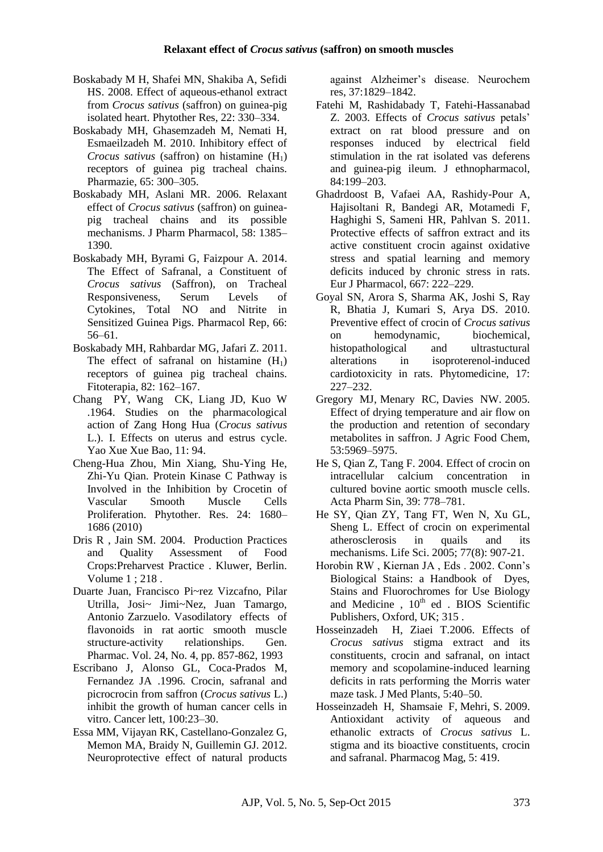- Boskabady M H, Shafei MN, Shakiba A, Sefidi HS. 2008. Effect of aqueous-ethanol extract from *Crocus sativus* (saffron) on guinea-pig isolated heart. Phytother Res, 22: 330–334.
- Boskabady MH, Ghasemzadeh M, Nemati H, Esmaeilzadeh M. 2010. Inhibitory effect of *Crocus sativus* (saffron) on histamine (H<sub>1</sub>) receptors of guinea pig tracheal chains. Pharmazie, 65: 300–305.
- Boskabady MH, Aslani MR. 2006. Relaxant effect of *Crocus sativus* (saffron) on guineapig tracheal chains and its possible mechanisms. J Pharm Pharmacol, 58: 1385– 1390.
- Boskabady MH, Byrami G, Faizpour A. 2014. The Effect of Safranal, a Constituent of *Crocus sativus* (Saffron), on Tracheal Responsiveness, Serum Levels of Cytokines, Total NO and Nitrite in Sensitized Guinea Pigs. Pharmacol Rep, 66: 56–61.
- Boskabady MH, Rahbardar MG, Jafari Z. 2011. The effect of safranal on histamine  $(H_1)$ receptors of guinea pig tracheal chains. Fitoterapia, 82: 162–167.
- Chang PY, Wang CK, Liang JD, Kuo W .1964. Studies on the pharmacological action of Zang Hong Hua (*Crocus sativus* L.). I. Effects on uterus and estrus cycle. Yao Xue Xue Bao, 11: 94.
- Cheng-Hua Zhou, Min Xiang, Shu-Ying He, Zhi-Yu Qian. Protein Kinase C Pathway is Involved in the Inhibition by Crocetin of Vascular Smooth Muscle Cells Proliferation. Phytother. Res. 24: 1680– 1686 (2010)
- Dris R , Jain SM. 2004. Production Practices and Quality Assessment of Food Crops:Preharvest Practice . Kluwer, Berlin. Volume 1 ; 218 .
- Duarte Juan, Francisco Pi~rez Vizcafno, Pilar Utrilla, Josi~ Jimi~Nez, Juan Tamargo, Antonio Zarzuelo. Vasodilatory effects of flavonoids in rat aortic smooth muscle structure-activity relationships. Gen. Pharmac. Vol. 24, No. 4, pp. 857-862, 1993
- Escribano J, Alonso GL, Coca-Prados M, Fernandez JA .1996. Crocin, safranal and picrocrocin from saffron (*Crocus sativus* L.) inhibit the growth of human cancer cells in vitro. Cancer lett, 100:23–30.
- Essa MM, Vijayan RK, Castellano-Gonzalez G, Memon MA, Braidy N, Guillemin GJ. 2012. Neuroprotective effect of natural products

against Alzheimer's disease. Neurochem res, 37:1829–1842.

- Fatehi M, Rashidabady T, Fatehi-Hassanabad Z. 2003. Effects of *Crocus sativus* petals' extract on rat blood pressure and on responses induced by electrical field stimulation in the rat isolated vas deferens and guinea-pig ileum. J ethnopharmacol, 84:199–203.
- Ghadrdoost B, Vafaei AA, Rashidy-Pour A, Hajisoltani R, Bandegi AR, Motamedi F, Haghighi S, Sameni HR, Pahlvan S. 2011. Protective effects of saffron extract and its active constituent crocin against oxidative stress and spatial learning and memory deficits induced by chronic stress in rats. Eur J Pharmacol, 667: 222–229.
- Goyal SN, Arora S, Sharma AK, Joshi S, Ray R, Bhatia J, Kumari S, Arya DS. 2010. Preventive effect of crocin of *Crocus sativus* on hemodynamic, biochemical, histopathological and ultrastuctural alterations in isoproterenol-induced cardiotoxicity in rats. Phytomedicine, 17: 227–232.
- Gregory MJ, Menary RC, Davies NW. 2005. Effect of drying temperature and air flow on the production and retention of secondary metabolites in saffron. J Agric Food Chem, 53:5969–5975.
- He S, Qian Z, Tang F. 2004. Effect of crocin on intracellular calcium concentration in cultured bovine aortic smooth muscle cells. Acta Pharm Sin, 39: 778–781.
- [He SY,](http://www.ncbi.nlm.nih.gov/pubmed/?term=He%20SY%5BAuthor%5D&cauthor=true&cauthor_uid=15964309) [Qian ZY,](http://www.ncbi.nlm.nih.gov/pubmed/?term=Qian%20ZY%5BAuthor%5D&cauthor=true&cauthor_uid=15964309) [Tang FT,](http://www.ncbi.nlm.nih.gov/pubmed/?term=Tang%20FT%5BAuthor%5D&cauthor=true&cauthor_uid=15964309) [Wen N,](http://www.ncbi.nlm.nih.gov/pubmed/?term=Wen%20N%5BAuthor%5D&cauthor=true&cauthor_uid=15964309) [Xu GL,](http://www.ncbi.nlm.nih.gov/pubmed/?term=Xu%20GL%5BAuthor%5D&cauthor=true&cauthor_uid=15964309) [Sheng L.](http://www.ncbi.nlm.nih.gov/pubmed/?term=Sheng%20L%5BAuthor%5D&cauthor=true&cauthor_uid=15964309) Effect of crocin on experimental atherosclerosis in quails and its mechanisms. [Life Sci.](http://www.ncbi.nlm.nih.gov/pubmed/?term=Effect+of+crocin+on+experimental+atherosclerosis+in+quails+and+its+mechanisms) 2005; 77(8): 907-21.
- Horobin RW , Kiernan JA , Eds . 2002. Conn's Biological Stains: a Handbook of Dyes, Stains and Fluorochromes for Use Biology and Medicine ,  $10<sup>th</sup>$  ed . BIOS Scientific Publishers, Oxford, UK; 315 .
- Hosseinzadeh H, Ziaei T.2006. Effects of *Crocus sativus* stigma extract and its constituents, crocin and safranal, on intact memory and scopolamine-induced learning deficits in rats performing the Morris water maze task. J Med Plants, 5:40–50.
- Hosseinzadeh H, Shamsaie F, Mehri, S. 2009. Antioxidant activity of aqueous and ethanolic extracts of *Crocus sativus* L. stigma and its bioactive constituents, crocin and safranal. Pharmacog Mag, 5: 419.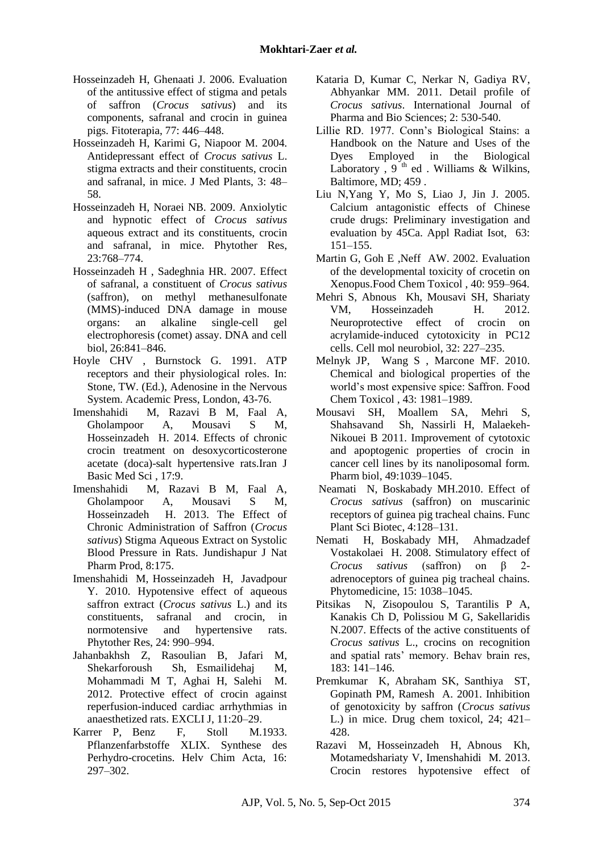- Hosseinzadeh H, Ghenaati J. 2006. Evaluation of the antitussive effect of stigma and petals of saffron (*Crocus sativus*) and its components, safranal and crocin in guinea pigs. Fitoterapia, 77: 446–448.
- Hosseinzadeh H, Karimi G, Niapoor M. 2004. Antidepressant effect of *Crocus sativus* L. stigma extracts and their constituents, crocin and safranal, in mice. J Med Plants, 3: 48– 58.
- Hosseinzadeh H, Noraei NB. 2009. Anxiolytic and hypnotic effect of *Crocus sativus* aqueous extract and its constituents, crocin and safranal, in mice. Phytother Res, 23:768–774.
- Hosseinzadeh H , Sadeghnia HR. 2007. Effect of safranal, a constituent of *Crocus sativus* (saffron), on methyl methanesulfonate (MMS)-induced DNA damage in mouse organs: an alkaline single-cell gel electrophoresis (comet) assay. DNA and cell biol, 26:841–846.
- Hoyle CHV , Burnstock G. 1991. ATP receptors and their physiological roles. In: Stone, TW. (Ed.), Adenosine in the Nervous System. Academic Press, London, 43-76.
- Imenshahidi M, Razavi B M, Faal A, Gholampoor A, Mousavi S M, Hosseinzadeh H. 2014. Effects of chronic crocin treatment on desoxycorticosterone acetate (doca)-salt hypertensive rats.Iran J Basic Med Sci , 17:9.
- Imenshahidi M, Razavi B M, Faal A, Gholampoor A, Mousavi S M, Hosseinzadeh H. 2013. The Effect of Chronic Administration of Saffron (*Crocus sativus*) Stigma Aqueous Extract on Systolic Blood Pressure in Rats. Jundishapur J Nat Pharm Prod, 8:175.
- Imenshahidi M, Hosseinzadeh H, Javadpour Y. 2010. Hypotensive effect of aqueous saffron extract (*Crocus sativus* L.) and its constituents safranal and crocin in normotensive and hypertensive rats. Phytother Res, 24: 990–994.
- Jahanbakhsh Z, Rasoulian B, Jafari M, Shekarforoush Sh, Esmailidehaj M, Mohammadi M T, Aghai H, Salehi M. 2012. Protective effect of crocin against reperfusion-induced cardiac arrhythmias in anaesthetized rats. EXCLI J, 11:20–29.
- Karrer P, Benz F, Stoll M.1933. Pflanzenfarbstoffe XLIX. Synthese des Perhydro-crocetins. Helv Chim Acta, 16: 297–302.
- Kataria D, Kumar C, Nerkar N, Gadiya RV, Abhyankar MM. 2011. Detail profile of *Crocus sativus*. International Journal of Pharma and Bio Sciences; 2: 530-540.
- Lillie RD. 1977. Conn's Biological Stains: a Handbook on the Nature and Uses of the Dyes Employed in the Biological Laboratory ,  $9<sup>th</sup>$  ed . Williams & Wilkins, Baltimore, MD; 459 .
- Liu N,Yang Y, Mo S, Liao J, Jin J. 2005. Calcium antagonistic effects of Chinese crude drugs: Preliminary investigation and evaluation by 45Ca. Appl Radiat Isot, 63: 151–155.
- Martin G, Goh E, Neff AW. 2002. Evaluation of the developmental toxicity of crocetin on Xenopus.Food Chem Toxicol , 40: 959–964.
- Mehri S, Abnous Kh, Mousavi SH, Shariaty VM, Hosseinzadeh H. 2012. Neuroprotective effect of crocin on acrylamide-induced cytotoxicity in PC12 cells. Cell mol neurobiol, 32: 227–235.
- Melnyk JP, Wang S , Marcone MF. 2010. Chemical and biological properties of the world's most expensive spice: Saffron. Food Chem Toxicol , 43: 1981–1989.
- Mousavi SH, Moallem SA, Mehri S, Shahsavand Sh, Nassirli H, Malaekeh-Nikouei B 2011. Improvement of cytotoxic and apoptogenic properties of crocin in cancer cell lines by its nanoliposomal form. Pharm biol, 49:1039–1045.
- Neamati N, Boskabady MH.2010. Effect of *Crocus sativus* (saffron) on muscarinic receptors of guinea pig tracheal chains. Func Plant Sci Biotec, 4:128–131.
- Nemati H, Boskabady MH, Ahmadzadef Vostakolaei H. 2008. Stimulatory effect of *Crocus sativus* (saffron) on β 2 adrenoceptors of guinea pig tracheal chains. Phytomedicine, 15: 1038–1045.
- Pitsikas N, Zisopoulou S, Tarantilis P A, Kanakis Ch D, Polissiou M G, Sakellaridis N.2007. Effects of the active constituents of *Crocus sativus* L., crocins on recognition and spatial rats' memory. Behav brain res, 183: 141–146.
- Premkumar K, Abraham SK, Santhiya ST, Gopinath PM, Ramesh A. 2001. Inhibition of genotoxicity by saffron (*Crocus sativus* L.) in mice. Drug chem toxicol, 24; 421– 428.
- Razavi M, Hosseinzadeh H, Abnous Kh, Motamedshariaty V, Imenshahidi M. 2013. Crocin restores hypotensive effect of